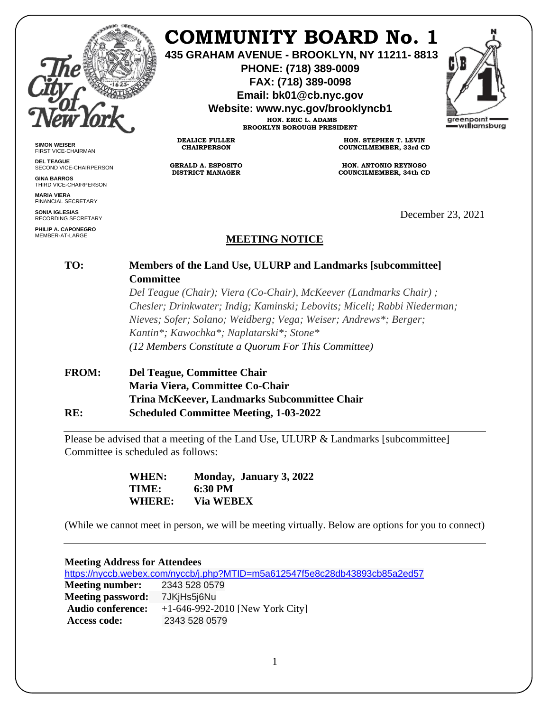

**SIMON WEISER** FIRST VICE-CHAIRMAN **DEL TEAGUE**

**GINA BARROS** THIRD VICE-CHAIRPERSON

**MARIA VIERA** FINANCIAL SECRETARY **SONIA IGLESIAS** RECORDING SECRETARY **PHILIP A. CAPONEGRO** MEMBER-AT-LARGE

SECOND VICE-CHAIRPERSON

# **COMMUNITY BOARD No. 1**

**435 GRAHAM AVENUE - BROOKLYN, NY 11211- 8813**

**PHONE: (718) 389-0009 FAX: (718) 389-0098**

**Email: bk01@cb.nyc.gov**

**Website: www.nyc.gov/brooklyncb1**

**HON. ERIC L. ADAMS BROOKLYN BOROUGH PRESIDENT**

**DEALICE FULLER CHAIRPERSON**

**GERALD A. ESPOSITO DISTRICT MANAGER**

**HON. STEPHEN T. LEVIN COUNCILMEMBER, 33rd CD**

**HON. ANTONIO REYNOSO COUNCILMEMBER, 34th CD**

December 23, 2021

# **MEETING NOTICE**

#### **TO: Members of the Land Use, ULURP and Landmarks [subcommittee] Committee**

*Del Teague (Chair); Viera (Co-Chair), McKeever (Landmarks Chair) ; Chesler; Drinkwater; Indig; Kaminski; Lebovits; Miceli; Rabbi Niederman; Nieves; Sofer; Solano; Weidberg; Vega; Weiser; Andrews\*; Berger; Kantin\*; Kawochka\*; Naplatarski\*; Stone\* (12 Members Constitute a Quorum For This Committee)*

## **FROM: Del Teague, Committee Chair Maria Viera, Committee Co-Chair Trina McKeever, Landmarks Subcommittee Chair RE: Scheduled Committee Meeting, 1-03-2022**

Please be advised that a meeting of the Land Use, ULURP & Landmarks [subcommittee] Committee is scheduled as follows:

| WHEN:         | Monday, January 3, 2022 |
|---------------|-------------------------|
| <b>TIME:</b>  | 6:30 PM                 |
| <b>WHERE:</b> | <b>Via WEBEX</b>        |

(While we cannot meet in person, we will be meeting virtually. Below are options for you to connect)

| <b>Meeting Address for Attendees</b> |                                                                            |  |
|--------------------------------------|----------------------------------------------------------------------------|--|
|                                      | https://nyccb.webex.com/nyccb/j.php?MTID=m5a612547f5e8c28db43893cb85a2ed57 |  |
| <b>Meeting number:</b> 2343 528 0579 |                                                                            |  |
| <b>Meeting password:</b>             | 7JKiHs5i6Nu                                                                |  |
| <b>Audio conference:</b>             | $+1-646-992-2010$ [New York City]                                          |  |
| <b>Access code:</b>                  | 2343 528 0579                                                              |  |

areenpoint w**illi**amsburg